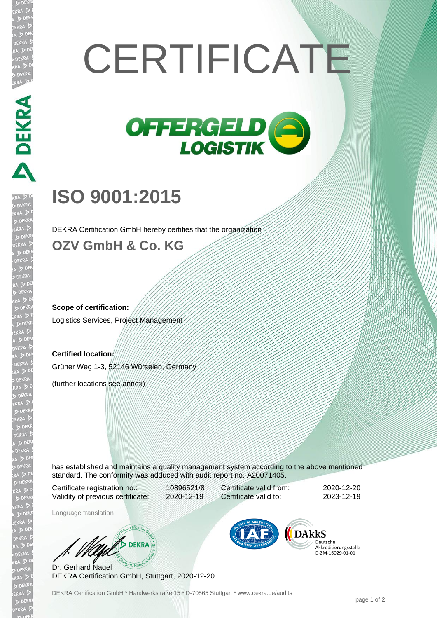## **CERTIFICATE**



## **ISO 9001:2015**

**DEKRA** 

DEKRA Certification GmbH hereby certifies that the organization

## **OZV GmbH & Co. KG**

**Scope of certification:** Logistics Services, Project Management

**Certified location:** Grüner Weg 1-3, 52146 Würselen, Germany

(further locations see annex)

has established and maintains a quality management system according to the above mentioned standard. The conformity was adduced with audit report no. A20071405.

Certificate registration no.: 10896521/8 Validity of previous certificate: 2020-12-19

Certificate valid from: 2020-12-20 Certificate valid to: 2023-12-19

Language translation

**BURNERA** 

Dr. Gerhard Nagel DEKRA Certification GmbH, Stuttgart, 2020-12-20



Deutsche Akkreditierungsstelle<br>D-ZM-16029-01-01